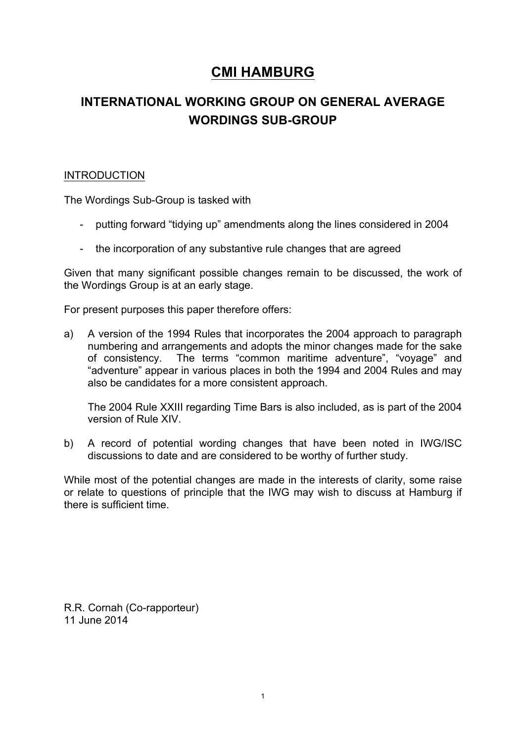# **CMI HAMBURG**

# **INTERNATIONAL WORKING GROUP ON GENERAL AVERAGE WORDINGS SUB-GROUP**

## INTRODUCTION

The Wordings Sub-Group is tasked with

- putting forward "tidying up" amendments along the lines considered in 2004
- the incorporation of any substantive rule changes that are agreed

Given that many significant possible changes remain to be discussed, the work of the Wordings Group is at an early stage.

For present purposes this paper therefore offers:

a) A version of the 1994 Rules that incorporates the 2004 approach to paragraph numbering and arrangements and adopts the minor changes made for the sake of consistency. The terms "common maritime adventure", "voyage" and "adventure" appear in various places in both the 1994 and 2004 Rules and may also be candidates for a more consistent approach.

The 2004 Rule XXIII regarding Time Bars is also included, as is part of the 2004 version of Rule XIV.

b) A record of potential wording changes that have been noted in IWG/ISC discussions to date and are considered to be worthy of further study.

While most of the potential changes are made in the interests of clarity, some raise or relate to questions of principle that the IWG may wish to discuss at Hamburg if there is sufficient time.

R.R. Cornah (Co-rapporteur) 11 June 2014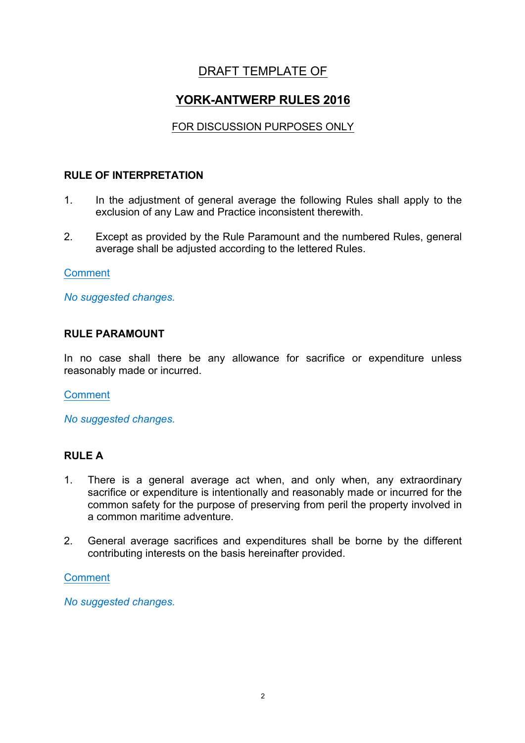# DRAFT TEMPLATE OF

# **YORK-ANTWERP RULES 2016**

# FOR DISCUSSION PURPOSES ONLY

# **RULE OF INTERPRETATION**

- 1. In the adjustment of general average the following Rules shall apply to the exclusion of any Law and Practice inconsistent therewith.
- 2. Except as provided by the Rule Paramount and the numbered Rules, general average shall be adjusted according to the lettered Rules.

## **Comment**

*No suggested changes.*

# **RULE PARAMOUNT**

In no case shall there be any allowance for sacrifice or expenditure unless reasonably made or incurred.

#### **Comment**

*No suggested changes.*

# **RULE A**

- 1. There is a general average act when, and only when, any extraordinary sacrifice or expenditure is intentionally and reasonably made or incurred for the common safety for the purpose of preserving from peril the property involved in a common maritime adventure.
- 2. General average sacrifices and expenditures shall be borne by the different contributing interests on the basis hereinafter provided.

#### **Comment**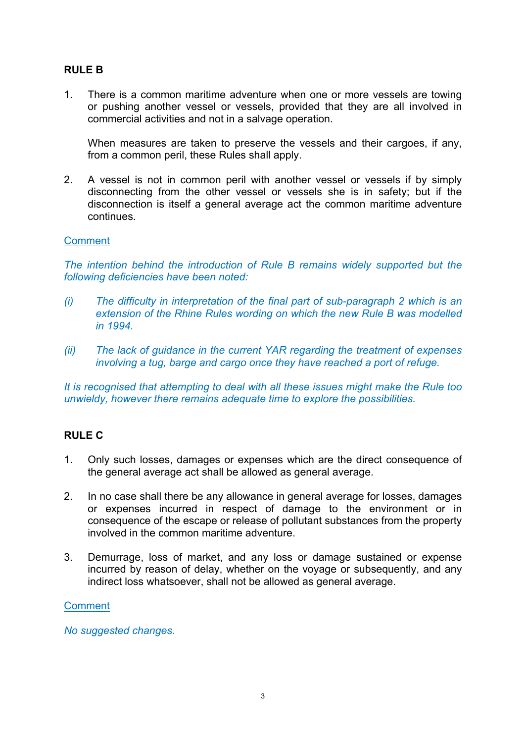# **RULE B**

1. There is a common maritime adventure when one or more vessels are towing or pushing another vessel or vessels, provided that they are all involved in commercial activities and not in a salvage operation.

When measures are taken to preserve the vessels and their cargoes, if any, from a common peril, these Rules shall apply.

2. A vessel is not in common peril with another vessel or vessels if by simply disconnecting from the other vessel or vessels she is in safety; but if the disconnection is itself a general average act the common maritime adventure continues.

## **Comment**

*The intention behind the introduction of Rule B remains widely supported but the following deficiencies have been noted:*

- *(i) The difficulty in interpretation of the final part of sub-paragraph 2 which is an extension of the Rhine Rules wording on which the new Rule B was modelled in 1994.*
- *(ii) The lack of guidance in the current YAR regarding the treatment of expenses involving a tug, barge and cargo once they have reached a port of refuge.*

*It is recognised that attempting to deal with all these issues might make the Rule too unwieldy, however there remains adequate time to explore the possibilities.*

# **RULE C**

- 1. Only such losses, damages or expenses which are the direct consequence of the general average act shall be allowed as general average.
- 2. In no case shall there be any allowance in general average for losses, damages or expenses incurred in respect of damage to the environment or in consequence of the escape or release of pollutant substances from the property involved in the common maritime adventure.
- 3. Demurrage, loss of market, and any loss or damage sustained or expense incurred by reason of delay, whether on the voyage or subsequently, and any indirect loss whatsoever, shall not be allowed as general average.

#### **Comment**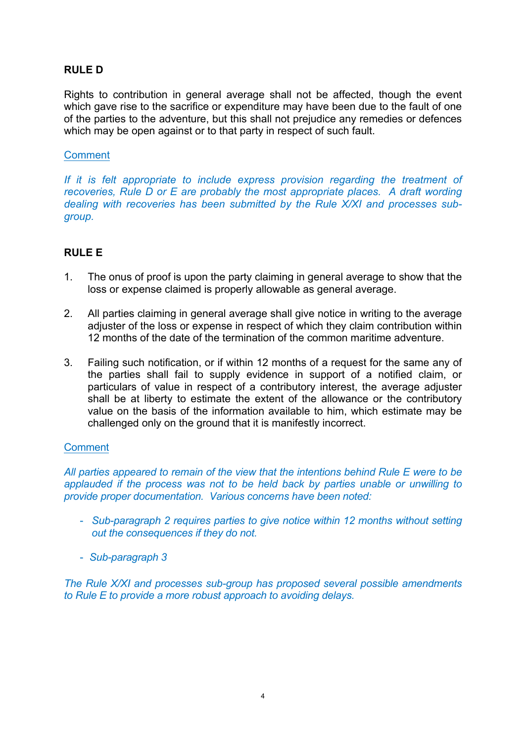# **RULE D**

Rights to contribution in general average shall not be affected, though the event which gave rise to the sacrifice or expenditure may have been due to the fault of one of the parties to the adventure, but this shall not prejudice any remedies or defences which may be open against or to that party in respect of such fault.

#### **Comment**

If it is felt appropriate to include express provision regarding the treatment of *recoveries, Rule D or E are probably the most appropriate places. A draft wording dealing with recoveries has been submitted by the Rule X/XI and processes subgroup.*

## **RULE E**

- 1. The onus of proof is upon the party claiming in general average to show that the loss or expense claimed is properly allowable as general average.
- 2. All parties claiming in general average shall give notice in writing to the average adjuster of the loss or expense in respect of which they claim contribution within 12 months of the date of the termination of the common maritime adventure.
- 3. Failing such notification, or if within 12 months of a request for the same any of the parties shall fail to supply evidence in support of a notified claim, or particulars of value in respect of a contributory interest, the average adjuster shall be at liberty to estimate the extent of the allowance or the contributory value on the basis of the information available to him, which estimate may be challenged only on the ground that it is manifestly incorrect.

#### **Comment**

*All parties appeared to remain of the view that the intentions behind Rule E were to be applauded if the process was not to be held back by parties unable or unwilling to provide proper documentation. Various concerns have been noted:*

- *Sub-paragraph 2 requires parties to give notice within 12 months without setting out the consequences if they do not.*
- *Sub-paragraph 3*

*The Rule X/XI and processes sub-group has proposed several possible amendments to Rule E to provide a more robust approach to avoiding delays.*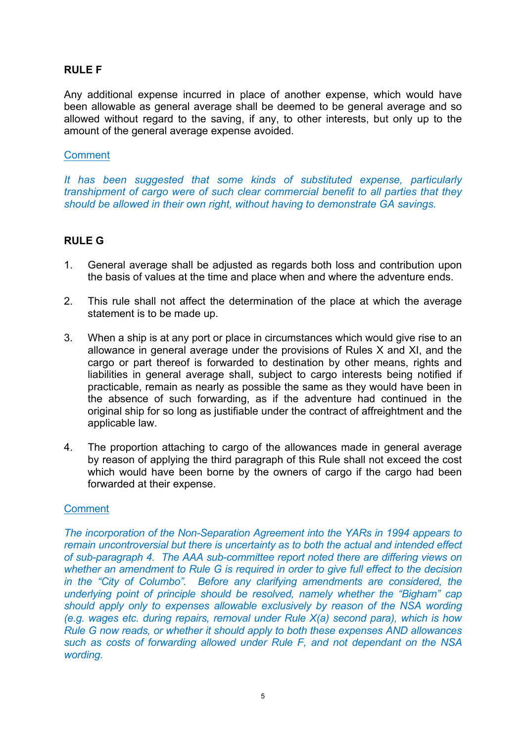# **RULE F**

Any additional expense incurred in place of another expense, which would have been allowable as general average shall be deemed to be general average and so allowed without regard to the saving, if any, to other interests, but only up to the amount of the general average expense avoided.

#### **Comment**

*It has been suggested that some kinds of substituted expense, particularly transhipment of cargo were of such clear commercial benefit to all parties that they should be allowed in their own right, without having to demonstrate GA savings.*

#### **RULE G**

- 1. General average shall be adjusted as regards both loss and contribution upon the basis of values at the time and place when and where the adventure ends.
- 2. This rule shall not affect the determination of the place at which the average statement is to be made up.
- 3. When a ship is at any port or place in circumstances which would give rise to an allowance in general average under the provisions of Rules X and XI, and the cargo or part thereof is forwarded to destination by other means, rights and liabilities in general average shall, subject to cargo interests being notified if practicable, remain as nearly as possible the same as they would have been in the absence of such forwarding, as if the adventure had continued in the original ship for so long as justifiable under the contract of affreightment and the applicable law.
- 4. The proportion attaching to cargo of the allowances made in general average by reason of applying the third paragraph of this Rule shall not exceed the cost which would have been borne by the owners of cargo if the cargo had been forwarded at their expense.

#### **Comment**

*The incorporation of the Non-Separation Agreement into the YARs in 1994 appears to remain uncontroversial but there is uncertainty as to both the actual and intended effect of sub-paragraph 4. The AAA sub-committee report noted there are differing views on whether an amendment to Rule G is required in order to give full effect to the decision in the "City of Columbo". Before any clarifying amendments are considered, the underlying point of principle should be resolved, namely whether the "Bigham" cap should apply only to expenses allowable exclusively by reason of the NSA wording (e.g. wages etc. during repairs, removal under Rule X(a) second para), which is how Rule G now reads, or whether it should apply to both these expenses AND allowances such as costs of forwarding allowed under Rule F, and not dependant on the NSA wording.*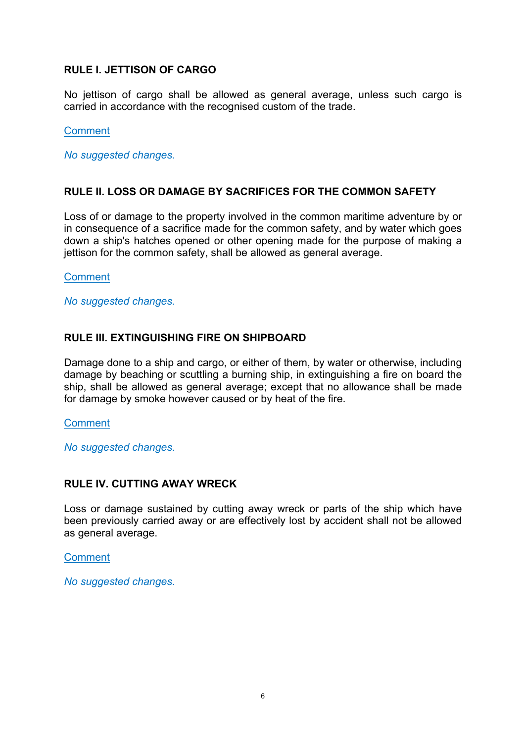## **RULE I. JETTISON OF CARGO**

No jettison of cargo shall be allowed as general average, unless such cargo is carried in accordance with the recognised custom of the trade.

#### **Comment**

*No suggested changes.*

## **RULE II. LOSS OR DAMAGE BY SACRIFICES FOR THE COMMON SAFETY**

Loss of or damage to the property involved in the common maritime adventure by or in consequence of a sacrifice made for the common safety, and by water which goes down a ship's hatches opened or other opening made for the purpose of making a jettison for the common safety, shall be allowed as general average.

Comment

*No suggested changes.*

## **RULE III. EXTINGUISHING FIRE ON SHIPBOARD**

Damage done to a ship and cargo, or either of them, by water or otherwise, including damage by beaching or scuttling a burning ship, in extinguishing a fire on board the ship, shall be allowed as general average; except that no allowance shall be made for damage by smoke however caused or by heat of the fire.

**Comment** 

*No suggested changes.*

#### **RULE IV. CUTTING AWAY WRECK**

Loss or damage sustained by cutting away wreck or parts of the ship which have been previously carried away or are effectively lost by accident shall not be allowed as general average.

Comment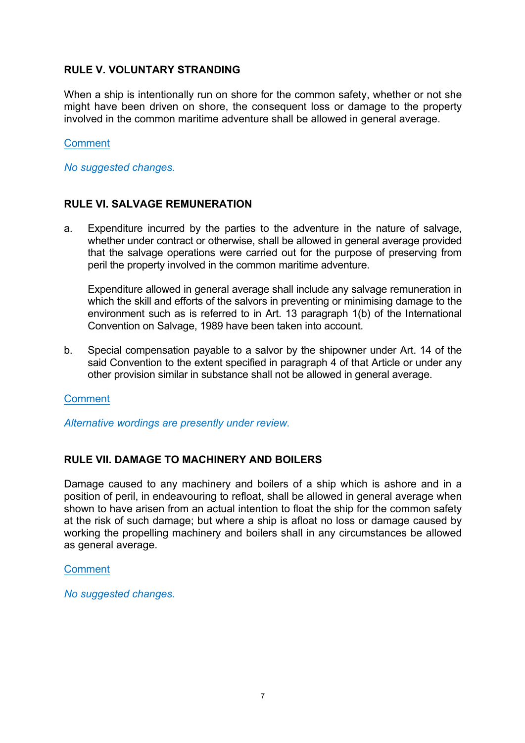## **RULE V. VOLUNTARY STRANDING**

When a ship is intentionally run on shore for the common safety, whether or not she might have been driven on shore, the consequent loss or damage to the property involved in the common maritime adventure shall be allowed in general average.

#### **Comment**

*No suggested changes.*

## **RULE VI. SALVAGE REMUNERATION**

a. Expenditure incurred by the parties to the adventure in the nature of salvage, whether under contract or otherwise, shall be allowed in general average provided that the salvage operations were carried out for the purpose of preserving from peril the property involved in the common maritime adventure.

Expenditure allowed in general average shall include any salvage remuneration in which the skill and efforts of the salvors in preventing or minimising damage to the environment such as is referred to in Art. 13 paragraph 1(b) of the International Convention on Salvage, 1989 have been taken into account.

b. Special compensation payable to a salvor by the shipowner under Art. 14 of the said Convention to the extent specified in paragraph 4 of that Article or under any other provision similar in substance shall not be allowed in general average.

#### **Comment**

*Alternative wordings are presently under review.*

#### **RULE VII. DAMAGE TO MACHINERY AND BOILERS**

Damage caused to any machinery and boilers of a ship which is ashore and in a position of peril, in endeavouring to refloat, shall be allowed in general average when shown to have arisen from an actual intention to float the ship for the common safety at the risk of such damage; but where a ship is afloat no loss or damage caused by working the propelling machinery and boilers shall in any circumstances be allowed as general average.

#### **Comment**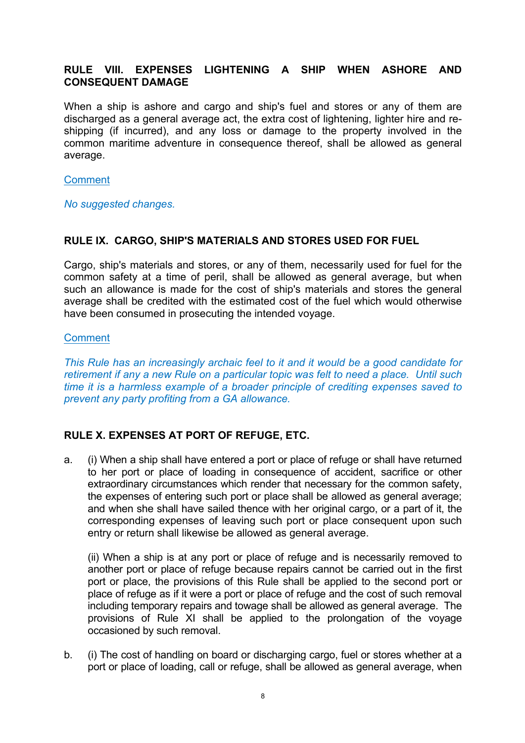### **RULE VIII. EXPENSES LIGHTENING A SHIP WHEN ASHORE AND CONSEQUENT DAMAGE**

When a ship is ashore and cargo and ship's fuel and stores or any of them are discharged as a general average act, the extra cost of lightening, lighter hire and reshipping (if incurred), and any loss or damage to the property involved in the common maritime adventure in consequence thereof, shall be allowed as general average.

**Comment** 

*No suggested changes.*

## **RULE IX. CARGO, SHIP'S MATERIALS AND STORES USED FOR FUEL**

Cargo, ship's materials and stores, or any of them, necessarily used for fuel for the common safety at a time of peril, shall be allowed as general average, but when such an allowance is made for the cost of ship's materials and stores the general average shall be credited with the estimated cost of the fuel which would otherwise have been consumed in prosecuting the intended voyage.

#### **Comment**

*This Rule has an increasingly archaic feel to it and it would be a good candidate for retirement if any a new Rule on a particular topic was felt to need a place. Until such time it is a harmless example of a broader principle of crediting expenses saved to prevent any party profiting from a GA allowance.*

#### **RULE X. EXPENSES AT PORT OF REFUGE, ETC.**

a. (i) When a ship shall have entered a port or place of refuge or shall have returned to her port or place of loading in consequence of accident, sacrifice or other extraordinary circumstances which render that necessary for the common safety, the expenses of entering such port or place shall be allowed as general average; and when she shall have sailed thence with her original cargo, or a part of it, the corresponding expenses of leaving such port or place consequent upon such entry or return shall likewise be allowed as general average.

(ii) When a ship is at any port or place of refuge and is necessarily removed to another port or place of refuge because repairs cannot be carried out in the first port or place, the provisions of this Rule shall be applied to the second port or place of refuge as if it were a port or place of refuge and the cost of such removal including temporary repairs and towage shall be allowed as general average. The provisions of Rule XI shall be applied to the prolongation of the voyage occasioned by such removal.

b. (i) The cost of handling on board or discharging cargo, fuel or stores whether at a port or place of loading, call or refuge, shall be allowed as general average, when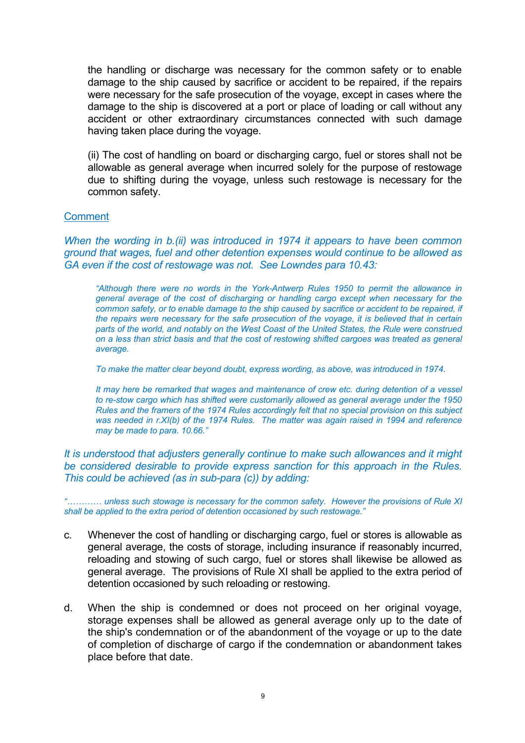the handling or discharge was necessary for the common safety or to enable damage to the ship caused by sacrifice or accident to be repaired, if the repairs were necessary for the safe prosecution of the voyage, except in cases where the damage to the ship is discovered at a port or place of loading or call without any accident or other extraordinary circumstances connected with such damage having taken place during the voyage.

(ii) The cost of handling on board or discharging cargo, fuel or stores shall not be allowable as general average when incurred solely for the purpose of restowage due to shifting during the voyage, unless such restowage is necessary for the common safety.

#### **Comment**

*When the wording in b.(ii) was introduced in 1974 it appears to have been common ground that wages, fuel and other detention expenses would continue to be allowed as GA even if the cost of restowage was not. See Lowndes para 10.43:*

*"Although there were no words in the York-Antwerp Rules 1950 to permit the allowance in general average of the cost of discharging or handling cargo except when necessary for the*  common safety, or to enable damage to the ship caused by sacrifice or accident to be repaired, if *the repairs were necessary for the safe prosecution of the voyage, it is believed that in certain parts of the world, and notably on the West Coast of the United States, the Rule were construed on a less than strict basis and that the cost of restowing shifted cargoes was treated as general average.*

*To make the matter clear beyond doubt, express wording, as above, was introduced in 1974.*

*It may here be remarked that wages and maintenance of crew etc. during detention of a vessel to re-stow cargo which has shifted were customarily allowed as general average under the 1950 Rules and the framers of the 1974 Rules accordingly felt that no special provision on this subject was needed in r.XI(b) of the 1974 Rules. The matter was again raised in 1994 and reference may be made to para. 10.66."*

*It is understood that adjusters generally continue to make such allowances and it might be considered desirable to provide express sanction for this approach in the Rules. This could be achieved (as in sub-para (c)) by adding:*

*"………… unless such stowage is necessary for the common safety. However the provisions of Rule XI shall be applied to the extra period of detention occasioned by such restowage."*

- c. Whenever the cost of handling or discharging cargo, fuel or stores is allowable as general average, the costs of storage, including insurance if reasonably incurred, reloading and stowing of such cargo, fuel or stores shall likewise be allowed as general average. The provisions of Rule XI shall be applied to the extra period of detention occasioned by such reloading or restowing.
- d. When the ship is condemned or does not proceed on her original voyage, storage expenses shall be allowed as general average only up to the date of the ship's condemnation or of the abandonment of the voyage or up to the date of completion of discharge of cargo if the condemnation or abandonment takes place before that date.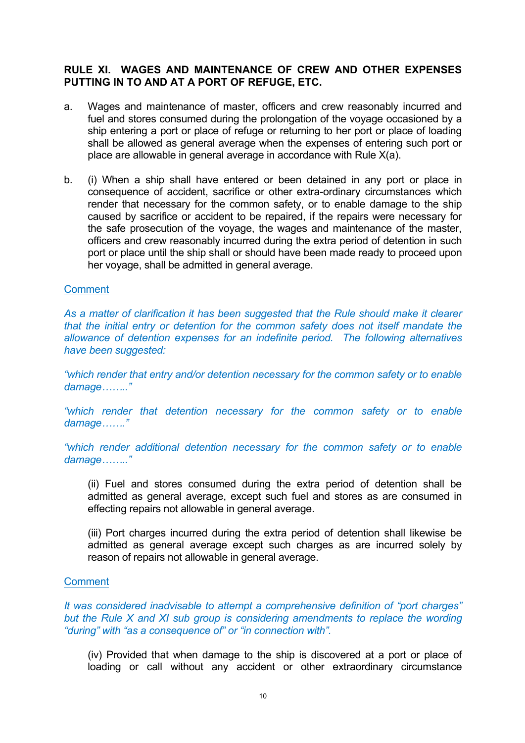#### **RULE XI. WAGES AND MAINTENANCE OF CREW AND OTHER EXPENSES PUTTING IN TO AND AT A PORT OF REFUGE, ETC.**

- a. Wages and maintenance of master, officers and crew reasonably incurred and fuel and stores consumed during the prolongation of the voyage occasioned by a ship entering a port or place of refuge or returning to her port or place of loading shall be allowed as general average when the expenses of entering such port or place are allowable in general average in accordance with Rule X(a).
- b. (i) When a ship shall have entered or been detained in any port or place in consequence of accident, sacrifice or other extra-ordinary circumstances which render that necessary for the common safety, or to enable damage to the ship caused by sacrifice or accident to be repaired, if the repairs were necessary for the safe prosecution of the voyage, the wages and maintenance of the master, officers and crew reasonably incurred during the extra period of detention in such port or place until the ship shall or should have been made ready to proceed upon her voyage, shall be admitted in general average.

#### **Comment**

*As a matter of clarification it has been suggested that the Rule should make it clearer that the initial entry or detention for the common safety does not itself mandate the allowance of detention expenses for an indefinite period. The following alternatives have been suggested:*

*"which render that entry and/or detention necessary for the common safety or to enable damage…….."*

*"which render that detention necessary for the common safety or to enable damage……."*

*"which render additional detention necessary for the common safety or to enable damage…….."*

(ii) Fuel and stores consumed during the extra period of detention shall be admitted as general average, except such fuel and stores as are consumed in effecting repairs not allowable in general average.

(iii) Port charges incurred during the extra period of detention shall likewise be admitted as general average except such charges as are incurred solely by reason of repairs not allowable in general average.

#### **Comment**

*It was considered inadvisable to attempt a comprehensive definition of "port charges" but the Rule X and XI sub group is considering amendments to replace the wording "during" with "as a consequence of" or "in connection with".*

(iv) Provided that when damage to the ship is discovered at a port or place of loading or call without any accident or other extraordinary circumstance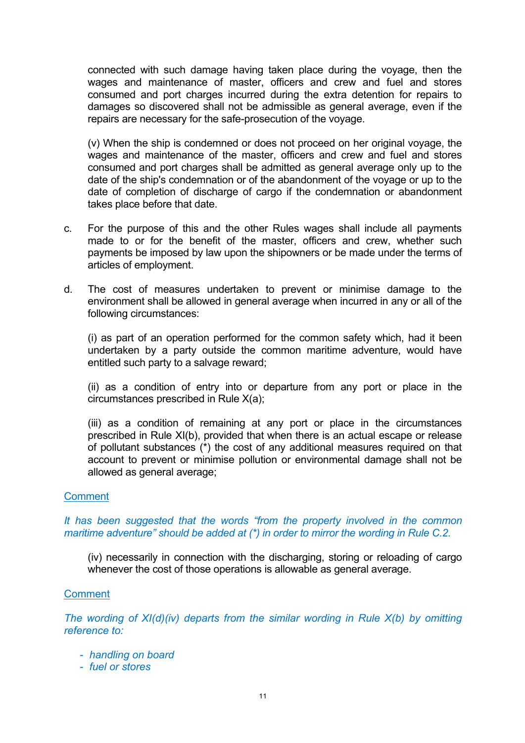connected with such damage having taken place during the voyage, then the wages and maintenance of master, officers and crew and fuel and stores consumed and port charges incurred during the extra detention for repairs to damages so discovered shall not be admissible as general average, even if the repairs are necessary for the safe-prosecution of the voyage.

(v) When the ship is condemned or does not proceed on her original voyage, the wages and maintenance of the master, officers and crew and fuel and stores consumed and port charges shall be admitted as general average only up to the date of the ship's condemnation or of the abandonment of the voyage or up to the date of completion of discharge of cargo if the condemnation or abandonment takes place before that date.

- c. For the purpose of this and the other Rules wages shall include all payments made to or for the benefit of the master, officers and crew, whether such payments be imposed by law upon the shipowners or be made under the terms of articles of employment.
- d. The cost of measures undertaken to prevent or minimise damage to the environment shall be allowed in general average when incurred in any or all of the following circumstances:

(i) as part of an operation performed for the common safety which, had it been undertaken by a party outside the common maritime adventure, would have entitled such party to a salvage reward;

(ii) as a condition of entry into or departure from any port or place in the circumstances prescribed in Rule X(a);

(iii) as a condition of remaining at any port or place in the circumstances prescribed in Rule XI(b), provided that when there is an actual escape or release of pollutant substances (\*) the cost of any additional measures required on that account to prevent or minimise pollution or environmental damage shall not be allowed as general average;

#### **Comment**

*It has been suggested that the words "from the property involved in the common maritime adventure" should be added at (\*) in order to mirror the wording in Rule C.2.*

(iv) necessarily in connection with the discharging, storing or reloading of cargo whenever the cost of those operations is allowable as general average.

#### **Comment**

*The wording of XI(d)(iv) departs from the similar wording in Rule X(b) by omitting reference to:*

- *handling on board*
- *fuel or stores*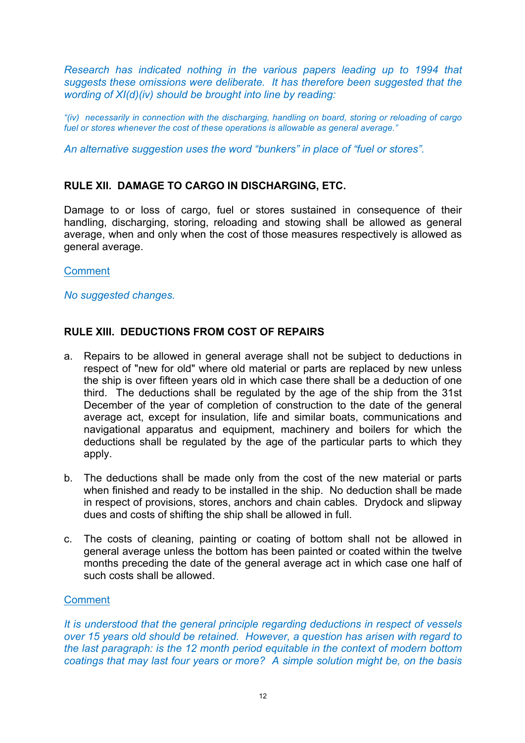*Research has indicated nothing in the various papers leading up to 1994 that suggests these omissions were deliberate. It has therefore been suggested that the wording of XI(d)(iv) should be brought into line by reading:*

*"(iv) necessarily in connection with the discharging, handling on board, storing or reloading of cargo fuel or stores whenever the cost of these operations is allowable as general average."*

*An alternative suggestion uses the word "bunkers" in place of "fuel or stores".*

## **RULE XII. DAMAGE TO CARGO IN DISCHARGING, ETC.**

Damage to or loss of cargo, fuel or stores sustained in consequence of their handling, discharging, storing, reloading and stowing shall be allowed as general average, when and only when the cost of those measures respectively is allowed as general average.

#### **Comment**

#### *No suggested changes.*

## **RULE XIII. DEDUCTIONS FROM COST OF REPAIRS**

- a. Repairs to be allowed in general average shall not be subject to deductions in respect of "new for old" where old material or parts are replaced by new unless the ship is over fifteen years old in which case there shall be a deduction of one third. The deductions shall be regulated by the age of the ship from the 31st December of the year of completion of construction to the date of the general average act, except for insulation, life and similar boats, communications and navigational apparatus and equipment, machinery and boilers for which the deductions shall be regulated by the age of the particular parts to which they apply.
- b. The deductions shall be made only from the cost of the new material or parts when finished and ready to be installed in the ship. No deduction shall be made in respect of provisions, stores, anchors and chain cables. Drydock and slipway dues and costs of shifting the ship shall be allowed in full.
- c. The costs of cleaning, painting or coating of bottom shall not be allowed in general average unless the bottom has been painted or coated within the twelve months preceding the date of the general average act in which case one half of such costs shall be allowed.

#### **Comment**

*It is understood that the general principle regarding deductions in respect of vessels over 15 years old should be retained. However, a question has arisen with regard to the last paragraph: is the 12 month period equitable in the context of modern bottom coatings that may last four years or more? A simple solution might be, on the basis*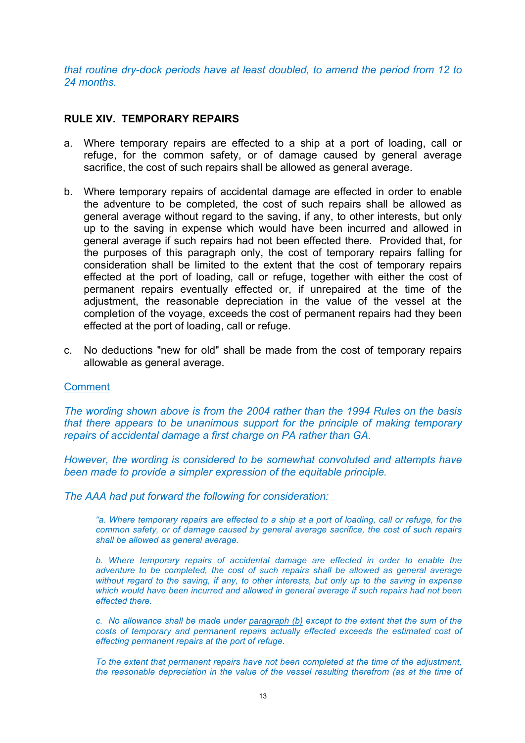*that routine dry-dock periods have at least doubled, to amend the period from 12 to 24 months.*

#### **RULE XIV. TEMPORARY REPAIRS**

- a. Where temporary repairs are effected to a ship at a port of loading, call or refuge, for the common safety, or of damage caused by general average sacrifice, the cost of such repairs shall be allowed as general average.
- b. Where temporary repairs of accidental damage are effected in order to enable the adventure to be completed, the cost of such repairs shall be allowed as general average without regard to the saving, if any, to other interests, but only up to the saving in expense which would have been incurred and allowed in general average if such repairs had not been effected there. Provided that, for the purposes of this paragraph only, the cost of temporary repairs falling for consideration shall be limited to the extent that the cost of temporary repairs effected at the port of loading, call or refuge, together with either the cost of permanent repairs eventually effected or, if unrepaired at the time of the adjustment, the reasonable depreciation in the value of the vessel at the completion of the voyage, exceeds the cost of permanent repairs had they been effected at the port of loading, call or refuge.
- c. No deductions "new for old" shall be made from the cost of temporary repairs allowable as general average.

#### **Comment**

*The wording shown above is from the 2004 rather than the 1994 Rules on the basis that there appears to be unanimous support for the principle of making temporary repairs of accidental damage a first charge on PA rather than GA.*

*However, the wording is considered to be somewhat convoluted and attempts have been made to provide a simpler expression of the equitable principle.*

*The AAA had put forward the following for consideration:*

*"a. Where temporary repairs are effected to a ship at a port of loading, call or refuge, for the common safety, or of damage caused by general average sacrifice, the cost of such repairs shall be allowed as general average.*

*b. Where temporary repairs of accidental damage are effected in order to enable the adventure to be completed, the cost of such repairs shall be allowed as general average without regard to the saving, if any, to other interests, but only up to the saving in expense which would have been incurred and allowed in general average if such repairs had not been effected there.*

*c. No allowance shall be made under paragraph (b) except to the extent that the sum of the costs of temporary and permanent repairs actually effected exceeds the estimated cost of effecting permanent repairs at the port of refuge.*

*To the extent that permanent repairs have not been completed at the time of the adjustment, the reasonable depreciation in the value of the vessel resulting therefrom (as at the time of*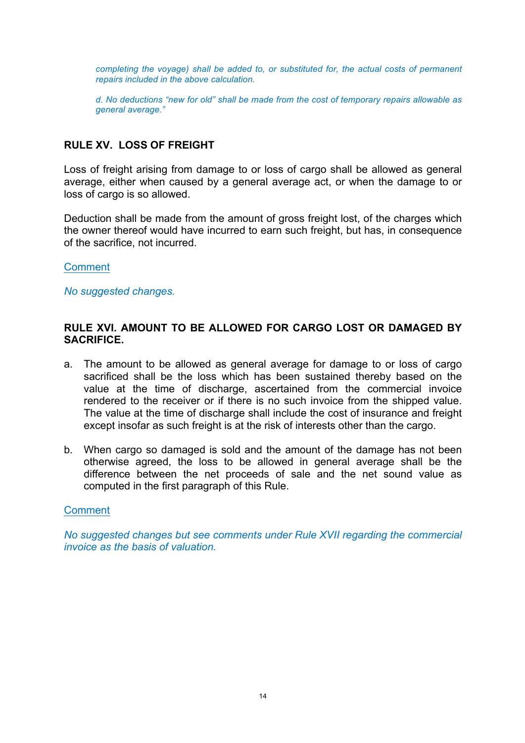*completing the voyage) shall be added to, or substituted for, the actual costs of permanent repairs included in the above calculation.*

*d. No deductions "new for old" shall be made from the cost of temporary repairs allowable as general average."*

## **RULE XV. LOSS OF FREIGHT**

Loss of freight arising from damage to or loss of cargo shall be allowed as general average, either when caused by a general average act, or when the damage to or loss of cargo is so allowed.

Deduction shall be made from the amount of gross freight lost, of the charges which the owner thereof would have incurred to earn such freight, but has, in consequence of the sacrifice, not incurred.

#### Comment

*No suggested changes.*

#### **RULE XVI. AMOUNT TO BE ALLOWED FOR CARGO LOST OR DAMAGED BY SACRIFICE.**

- a. The amount to be allowed as general average for damage to or loss of cargo sacrificed shall be the loss which has been sustained thereby based on the value at the time of discharge, ascertained from the commercial invoice rendered to the receiver or if there is no such invoice from the shipped value. The value at the time of discharge shall include the cost of insurance and freight except insofar as such freight is at the risk of interests other than the cargo.
- b. When cargo so damaged is sold and the amount of the damage has not been otherwise agreed, the loss to be allowed in general average shall be the difference between the net proceeds of sale and the net sound value as computed in the first paragraph of this Rule.

#### **Comment**

*No suggested changes but see comments under Rule XVII regarding the commercial invoice as the basis of valuation.*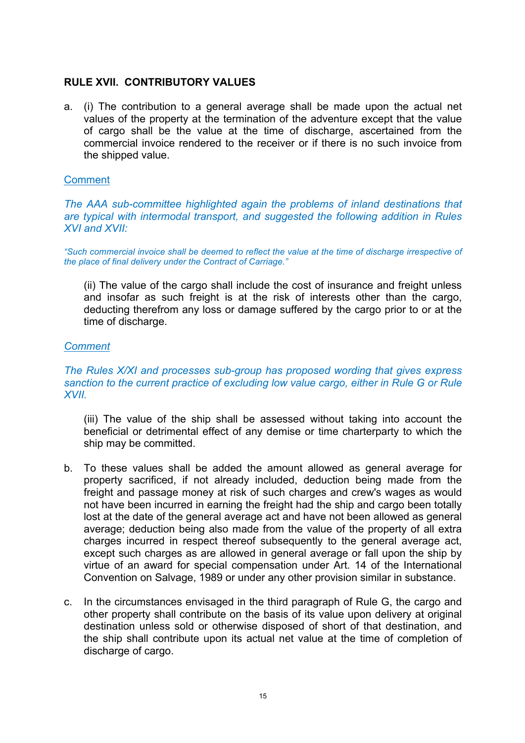#### **RULE XVII. CONTRIBUTORY VALUES**

a. (i) The contribution to a general average shall be made upon the actual net values of the property at the termination of the adventure except that the value of cargo shall be the value at the time of discharge, ascertained from the commercial invoice rendered to the receiver or if there is no such invoice from the shipped value.

#### **Comment**

*The AAA sub-committee highlighted again the problems of inland destinations that are typical with intermodal transport, and suggested the following addition in Rules XVI and XVII:*

*"Such commercial invoice shall be deemed to reflect the value at the time of discharge irrespective of the place of final delivery under the Contract of Carriage."*

(ii) The value of the cargo shall include the cost of insurance and freight unless and insofar as such freight is at the risk of interests other than the cargo, deducting therefrom any loss or damage suffered by the cargo prior to or at the time of discharge.

#### *Comment*

#### *The Rules X/XI and processes sub-group has proposed wording that gives express sanction to the current practice of excluding low value cargo, either in Rule G or Rule XVII.*

(iii) The value of the ship shall be assessed without taking into account the beneficial or detrimental effect of any demise or time charterparty to which the ship may be committed.

- b. To these values shall be added the amount allowed as general average for property sacrificed, if not already included, deduction being made from the freight and passage money at risk of such charges and crew's wages as would not have been incurred in earning the freight had the ship and cargo been totally lost at the date of the general average act and have not been allowed as general average; deduction being also made from the value of the property of all extra charges incurred in respect thereof subsequently to the general average act, except such charges as are allowed in general average or fall upon the ship by virtue of an award for special compensation under Art. 14 of the International Convention on Salvage, 1989 or under any other provision similar in substance.
- c. In the circumstances envisaged in the third paragraph of Rule G, the cargo and other property shall contribute on the basis of its value upon delivery at original destination unless sold or otherwise disposed of short of that destination, and the ship shall contribute upon its actual net value at the time of completion of discharge of cargo.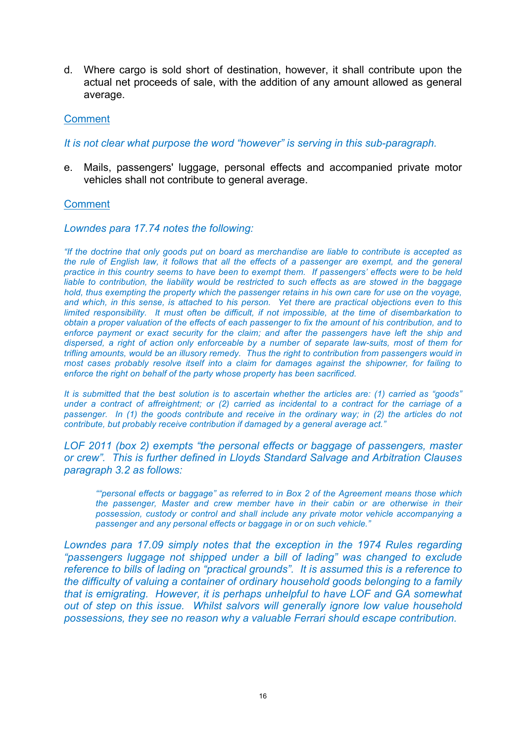d. Where cargo is sold short of destination, however, it shall contribute upon the actual net proceeds of sale, with the addition of any amount allowed as general average.

#### **Comment**

*It is not clear what purpose the word "however" is serving in this sub-paragraph.*

e. Mails, passengers' luggage, personal effects and accompanied private motor vehicles shall not contribute to general average.

#### **Comment**

#### *Lowndes para 17.74 notes the following:*

*"If the doctrine that only goods put on board as merchandise are liable to contribute is accepted as the rule of English law, it follows that all the effects of a passenger are exempt, and the general practice in this country seems to have been to exempt them. If passengers' effects were to be held liable to contribution, the liability would be restricted to such effects as are stowed in the baggage hold, thus exempting the property which the passenger retains in his own care for use on the voyage, and which, in this sense, is attached to his person. Yet there are practical objections even to this limited responsibility. It must often be difficult, if not impossible, at the time of disembarkation to obtain a proper valuation of the effects of each passenger to fix the amount of his contribution, and to enforce payment or exact security for the claim; and after the passengers have left the ship and dispersed, a right of action only enforceable by a number of separate law-suits, most of them for trifling amounts, would be an illusory remedy. Thus the right to contribution from passengers would in most cases probably resolve itself into a claim for damages against the shipowner, for failing to enforce the right on behalf of the party whose property has been sacrificed.*

*It is submitted that the best solution is to ascertain whether the articles are: (1) carried as "goods" under a contract of affreightment; or (2) carried as incidental to a contract for the carriage of a passenger. In (1) the goods contribute and receive in the ordinary way; in (2) the articles do not contribute, but probably receive contribution if damaged by a general average act."*

*LOF 2011 (box 2) exempts "the personal effects or baggage of passengers, master or crew". This is further defined in Lloyds Standard Salvage and Arbitration Clauses paragraph 3.2 as follows:*

*""personal effects or baggage" as referred to in Box 2 of the Agreement means those which the passenger, Master and crew member have in their cabin or are otherwise in their possession, custody or control and shall include any private motor vehicle accompanying a passenger and any personal effects or baggage in or on such vehicle."*

*Lowndes para 17.09 simply notes that the exception in the 1974 Rules regarding "passengers luggage not shipped under a bill of lading" was changed to exclude reference to bills of lading on "practical grounds". It is assumed this is a reference to the difficulty of valuing a container of ordinary household goods belonging to a family that is emigrating. However, it is perhaps unhelpful to have LOF and GA somewhat out of step on this issue. Whilst salvors will generally ignore low value household possessions, they see no reason why a valuable Ferrari should escape contribution.*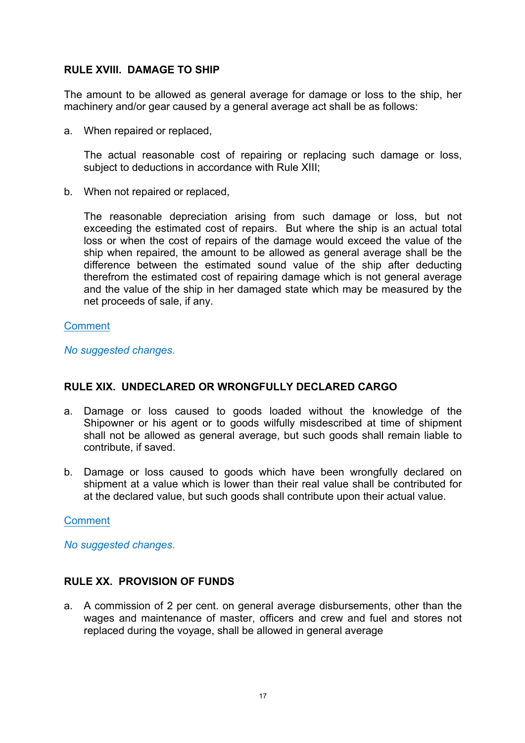## **RULE XVIII. DAMAGE TO SHIP**

The amount to be allowed as general average for damage or loss to the ship, her machinery and/or gear caused by a general average act shall be as follows:

a. When repaired or replaced,

The actual reasonable cost of repairing or replacing such damage or loss, subject to deductions in accordance with Rule XIII;

b. When not repaired or replaced,

The reasonable depreciation arising from such damage or loss, but not exceeding the estimated cost of repairs. But where the ship is an actual total loss or when the cost of repairs of the damage would exceed the value of the ship when repaired, the amount to be allowed as general average shall be the difference between the estimated sound value of the ship after deducting therefrom the estimated cost of repairing damage which is not general average and the value of the ship in her damaged state which may be measured by the net proceeds of sale, if any.

#### **Comment**

*No suggested changes.*

#### **RULE XIX. UNDECLARED OR WRONGFULLY DECLARED CARGO**

- a. Damage or loss caused to goods loaded without the knowledge of the Shipowner or his agent or to goods wilfully misdescribed at time of shipment shall not be allowed as general average, but such goods shall remain liable to contribute, if saved.
- b. Damage or loss caused to goods which have been wrongfully declared on shipment at a value which is lower than their real value shall be contributed for at the declared value, but such goods shall contribute upon their actual value.

#### **Comment**

*No suggested changes.*

#### **RULE XX. PROVISION OF FUNDS**

a. A commission of 2 per cent. on general average disbursements, other than the wages and maintenance of master, officers and crew and fuel and stores not replaced during the voyage, shall be allowed in general average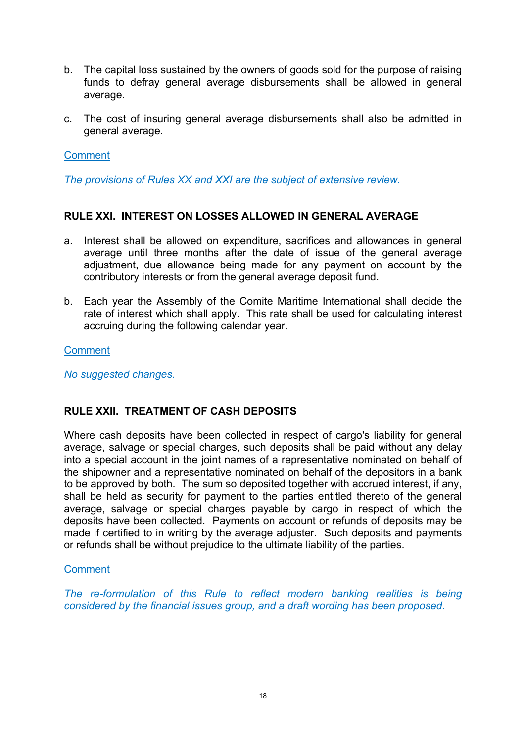- b. The capital loss sustained by the owners of goods sold for the purpose of raising funds to defray general average disbursements shall be allowed in general average.
- c. The cost of insuring general average disbursements shall also be admitted in general average.

#### **Comment**

*The provisions of Rules XX and XXI are the subject of extensive review.*

#### **RULE XXI. INTEREST ON LOSSES ALLOWED IN GENERAL AVERAGE**

- a. Interest shall be allowed on expenditure, sacrifices and allowances in general average until three months after the date of issue of the general average adjustment, due allowance being made for any payment on account by the contributory interests or from the general average deposit fund.
- b. Each year the Assembly of the Comite Maritime International shall decide the rate of interest which shall apply. This rate shall be used for calculating interest accruing during the following calendar year.

#### **Comment**

*No suggested changes.*

#### **RULE XXII. TREATMENT OF CASH DEPOSITS**

Where cash deposits have been collected in respect of cargo's liability for general average, salvage or special charges, such deposits shall be paid without any delay into a special account in the joint names of a representative nominated on behalf of the shipowner and a representative nominated on behalf of the depositors in a bank to be approved by both. The sum so deposited together with accrued interest, if any, shall be held as security for payment to the parties entitled thereto of the general average, salvage or special charges payable by cargo in respect of which the deposits have been collected. Payments on account or refunds of deposits may be made if certified to in writing by the average adjuster. Such deposits and payments or refunds shall be without prejudice to the ultimate liability of the parties.

#### **Comment**

*The re-formulation of this Rule to reflect modern banking realities is being considered by the financial issues group, and a draft wording has been proposed.*